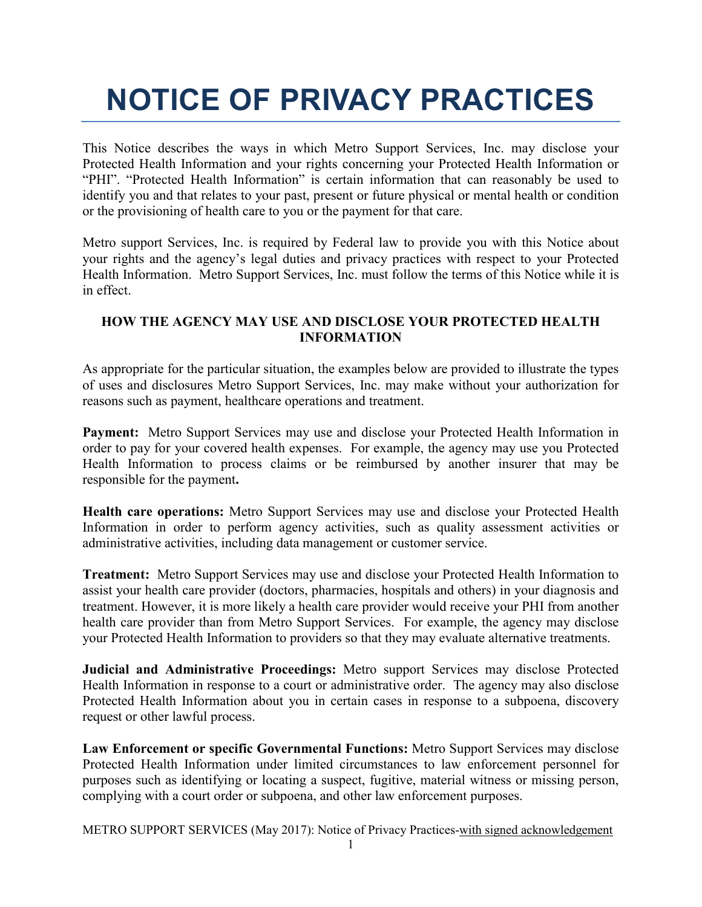# **NOTICE OF PRIVACY PRACTICES**

This Notice describes the ways in which Metro Support Services, Inc. may disclose your Protected Health Information and your rights concerning your Protected Health Information or "PHI". "Protected Health Information" is certain information that can reasonably be used to identify you and that relates to your past, present or future physical or mental health or condition or the provisioning of health care to you or the payment for that care.

Metro support Services, Inc. is required by Federal law to provide you with this Notice about your rights and the agency's legal duties and privacy practices with respect to your Protected Health Information. Metro Support Services, Inc. must follow the terms of this Notice while it is in effect.

## **HOW THE AGENCY MAY USE AND DISCLOSE YOUR PROTECTED HEALTH INFORMATION**

As appropriate for the particular situation, the examples below are provided to illustrate the types of uses and disclosures Metro Support Services, Inc. may make without your authorization for reasons such as payment, healthcare operations and treatment.

**Payment:** Metro Support Services may use and disclose your Protected Health Information in order to pay for your covered health expenses. For example, the agency may use you Protected Health Information to process claims or be reimbursed by another insurer that may be responsible for the payment**.** 

**Health care operations:** Metro Support Services may use and disclose your Protected Health Information in order to perform agency activities, such as quality assessment activities or administrative activities, including data management or customer service.

**Treatment:** Metro Support Services may use and disclose your Protected Health Information to assist your health care provider (doctors, pharmacies, hospitals and others) in your diagnosis and treatment. However, it is more likely a health care provider would receive your PHI from another health care provider than from Metro Support Services. For example, the agency may disclose your Protected Health Information to providers so that they may evaluate alternative treatments.

**Judicial and Administrative Proceedings:** Metro support Services may disclose Protected Health Information in response to a court or administrative order. The agency may also disclose Protected Health Information about you in certain cases in response to a subpoena, discovery request or other lawful process.

**Law Enforcement or specific Governmental Functions:** Metro Support Services may disclose Protected Health Information under limited circumstances to law enforcement personnel for purposes such as identifying or locating a suspect, fugitive, material witness or missing person, complying with a court order or subpoena, and other law enforcement purposes.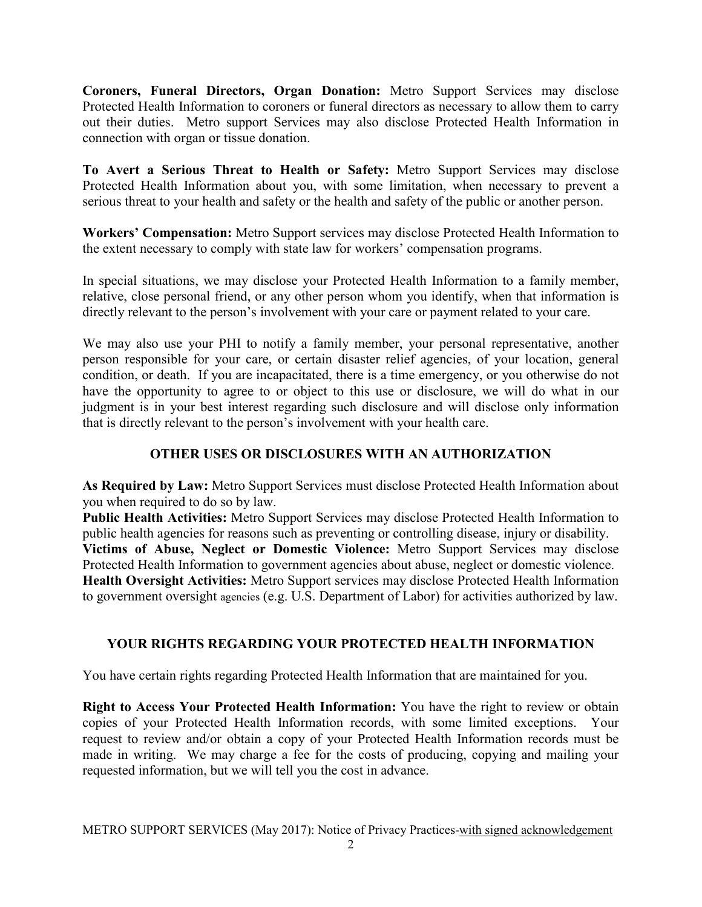**Coroners, Funeral Directors, Organ Donation:** Metro Support Services may disclose Protected Health Information to coroners or funeral directors as necessary to allow them to carry out their duties. Metro support Services may also disclose Protected Health Information in connection with organ or tissue donation.

**To Avert a Serious Threat to Health or Safety:** Metro Support Services may disclose Protected Health Information about you, with some limitation, when necessary to prevent a serious threat to your health and safety or the health and safety of the public or another person.

**Workers' Compensation:** Metro Support services may disclose Protected Health Information to the extent necessary to comply with state law for workers' compensation programs.

In special situations, we may disclose your Protected Health Information to a family member, relative, close personal friend, or any other person whom you identify, when that information is directly relevant to the person's involvement with your care or payment related to your care.

We may also use your PHI to notify a family member, your personal representative, another person responsible for your care, or certain disaster relief agencies, of your location, general condition, or death. If you are incapacitated, there is a time emergency, or you otherwise do not have the opportunity to agree to or object to this use or disclosure, we will do what in our judgment is in your best interest regarding such disclosure and will disclose only information that is directly relevant to the person's involvement with your health care.

## **OTHER USES OR DISCLOSURES WITH AN AUTHORIZATION**

**As Required by Law:** Metro Support Services must disclose Protected Health Information about you when required to do so by law.

**Public Health Activities:** Metro Support Services may disclose Protected Health Information to public health agencies for reasons such as preventing or controlling disease, injury or disability. **Victims of Abuse, Neglect or Domestic Violence:** Metro Support Services may disclose Protected Health Information to government agencies about abuse, neglect or domestic violence. **Health Oversight Activities:** Metro Support services may disclose Protected Health Information to government oversight agencies (e.g. U.S. Department of Labor) for activities authorized by law.

## **YOUR RIGHTS REGARDING YOUR PROTECTED HEALTH INFORMATION**

You have certain rights regarding Protected Health Information that are maintained for you.

**Right to Access Your Protected Health Information:** You have the right to review or obtain copies of your Protected Health Information records, with some limited exceptions. Your request to review and/or obtain a copy of your Protected Health Information records must be made in writing. We may charge a fee for the costs of producing, copying and mailing your requested information, but we will tell you the cost in advance.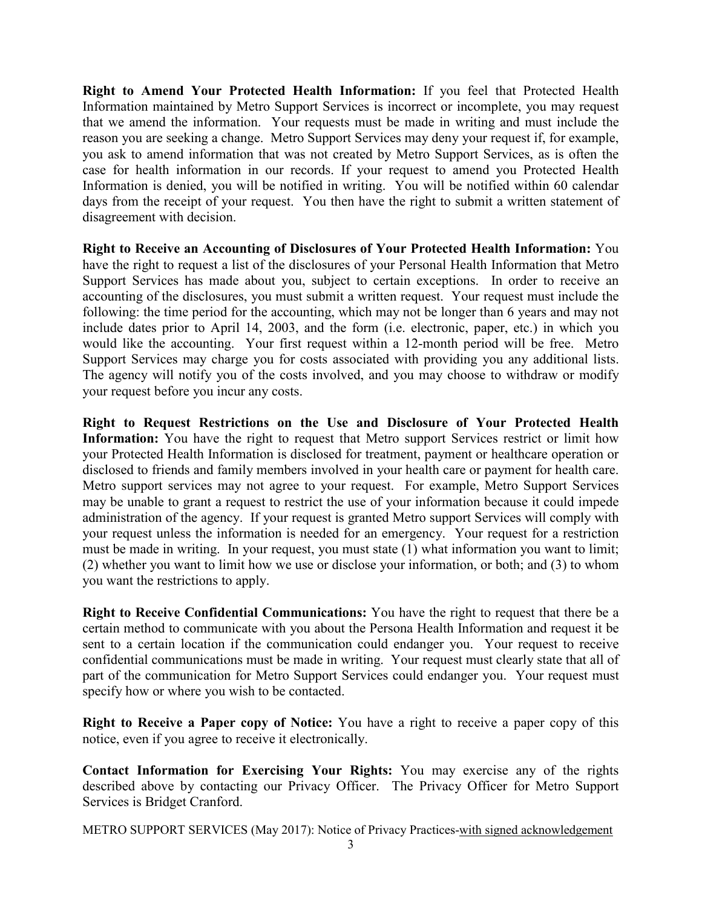**Right to Amend Your Protected Health Information:** If you feel that Protected Health Information maintained by Metro Support Services is incorrect or incomplete, you may request that we amend the information. Your requests must be made in writing and must include the reason you are seeking a change. Metro Support Services may deny your request if, for example, you ask to amend information that was not created by Metro Support Services, as is often the case for health information in our records. If your request to amend you Protected Health Information is denied, you will be notified in writing. You will be notified within 60 calendar days from the receipt of your request. You then have the right to submit a written statement of disagreement with decision.

**Right to Receive an Accounting of Disclosures of Your Protected Health Information:** You have the right to request a list of the disclosures of your Personal Health Information that Metro Support Services has made about you, subject to certain exceptions. In order to receive an accounting of the disclosures, you must submit a written request. Your request must include the following: the time period for the accounting, which may not be longer than 6 years and may not include dates prior to April 14, 2003, and the form (i.e. electronic, paper, etc.) in which you would like the accounting. Your first request within a 12-month period will be free. Metro Support Services may charge you for costs associated with providing you any additional lists. The agency will notify you of the costs involved, and you may choose to withdraw or modify your request before you incur any costs.

**Right to Request Restrictions on the Use and Disclosure of Your Protected Health Information:** You have the right to request that Metro support Services restrict or limit how your Protected Health Information is disclosed for treatment, payment or healthcare operation or disclosed to friends and family members involved in your health care or payment for health care. Metro support services may not agree to your request. For example, Metro Support Services may be unable to grant a request to restrict the use of your information because it could impede administration of the agency. If your request is granted Metro support Services will comply with your request unless the information is needed for an emergency. Your request for a restriction must be made in writing. In your request, you must state (1) what information you want to limit; (2) whether you want to limit how we use or disclose your information, or both; and (3) to whom you want the restrictions to apply.

**Right to Receive Confidential Communications:** You have the right to request that there be a certain method to communicate with you about the Persona Health Information and request it be sent to a certain location if the communication could endanger you. Your request to receive confidential communications must be made in writing. Your request must clearly state that all of part of the communication for Metro Support Services could endanger you. Your request must specify how or where you wish to be contacted.

**Right to Receive a Paper copy of Notice:** You have a right to receive a paper copy of this notice, even if you agree to receive it electronically.

**Contact Information for Exercising Your Rights:** You may exercise any of the rights described above by contacting our Privacy Officer. The Privacy Officer for Metro Support Services is Bridget Cranford.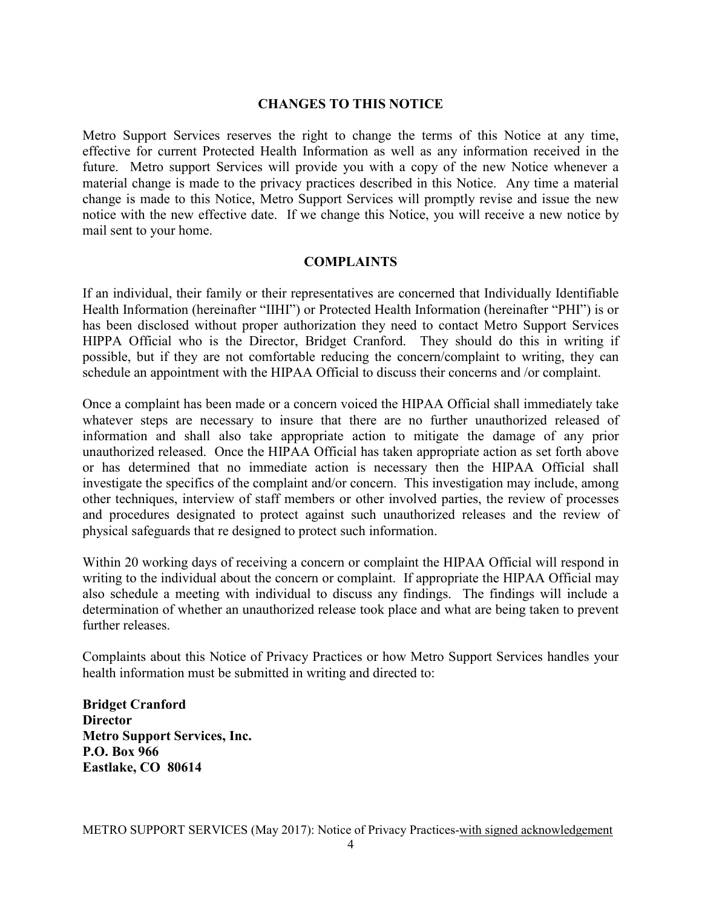#### **CHANGES TO THIS NOTICE**

Metro Support Services reserves the right to change the terms of this Notice at any time, effective for current Protected Health Information as well as any information received in the future. Metro support Services will provide you with a copy of the new Notice whenever a material change is made to the privacy practices described in this Notice. Any time a material change is made to this Notice, Metro Support Services will promptly revise and issue the new notice with the new effective date. If we change this Notice, you will receive a new notice by mail sent to your home.

#### **COMPLAINTS**

If an individual, their family or their representatives are concerned that Individually Identifiable Health Information (hereinafter "IIHI") or Protected Health Information (hereinafter "PHI") is or has been disclosed without proper authorization they need to contact Metro Support Services HIPPA Official who is the Director, Bridget Cranford. They should do this in writing if possible, but if they are not comfortable reducing the concern/complaint to writing, they can schedule an appointment with the HIPAA Official to discuss their concerns and /or complaint.

Once a complaint has been made or a concern voiced the HIPAA Official shall immediately take whatever steps are necessary to insure that there are no further unauthorized released of information and shall also take appropriate action to mitigate the damage of any prior unauthorized released. Once the HIPAA Official has taken appropriate action as set forth above or has determined that no immediate action is necessary then the HIPAA Official shall investigate the specifics of the complaint and/or concern. This investigation may include, among other techniques, interview of staff members or other involved parties, the review of processes and procedures designated to protect against such unauthorized releases and the review of physical safeguards that re designed to protect such information.

Within 20 working days of receiving a concern or complaint the HIPAA Official will respond in writing to the individual about the concern or complaint. If appropriate the HIPAA Official may also schedule a meeting with individual to discuss any findings. The findings will include a determination of whether an unauthorized release took place and what are being taken to prevent further releases.

Complaints about this Notice of Privacy Practices or how Metro Support Services handles your health information must be submitted in writing and directed to:

**Bridget Cranford Director Metro Support Services, Inc. P.O. Box 966 Eastlake, CO 80614**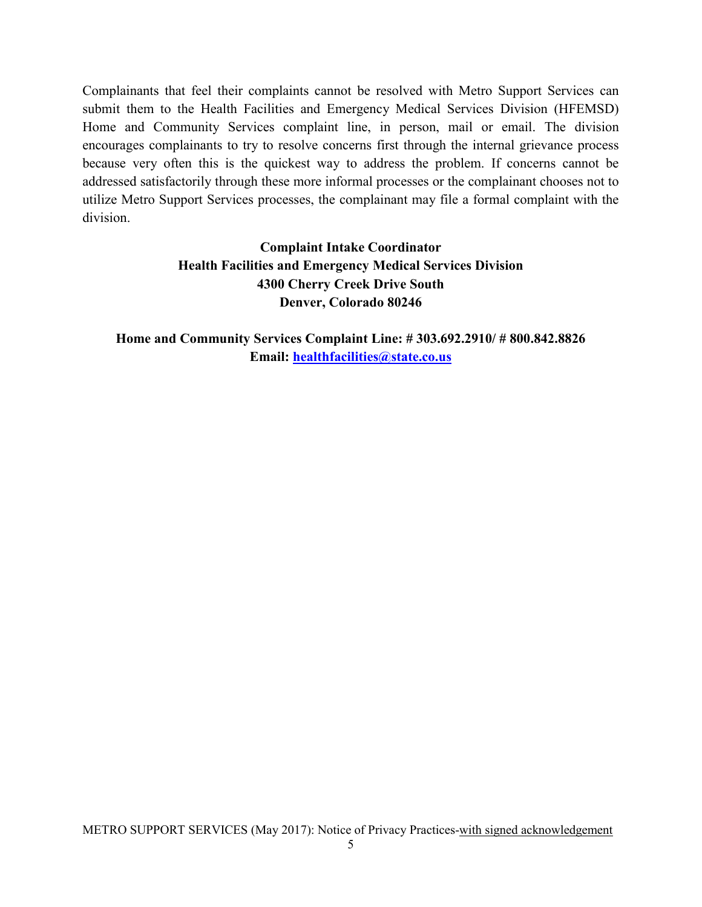Complainants that feel their complaints cannot be resolved with Metro Support Services can submit them to the Health Facilities and Emergency Medical Services Division (HFEMSD) Home and Community Services complaint line, in person, mail or email. The division encourages complainants to try to resolve concerns first through the internal grievance process because very often this is the quickest way to address the problem. If concerns cannot be addressed satisfactorily through these more informal processes or the complainant chooses not to utilize Metro Support Services processes, the complainant may file a formal complaint with the division.

> **Complaint Intake Coordinator Health Facilities and Emergency Medical Services Division 4300 Cherry Creek Drive South Denver, Colorado 80246**

**Home and Community Services Complaint Line: # 303.692.2910/ # 800.842.8826 Email: healthfacilities@state.co.us**